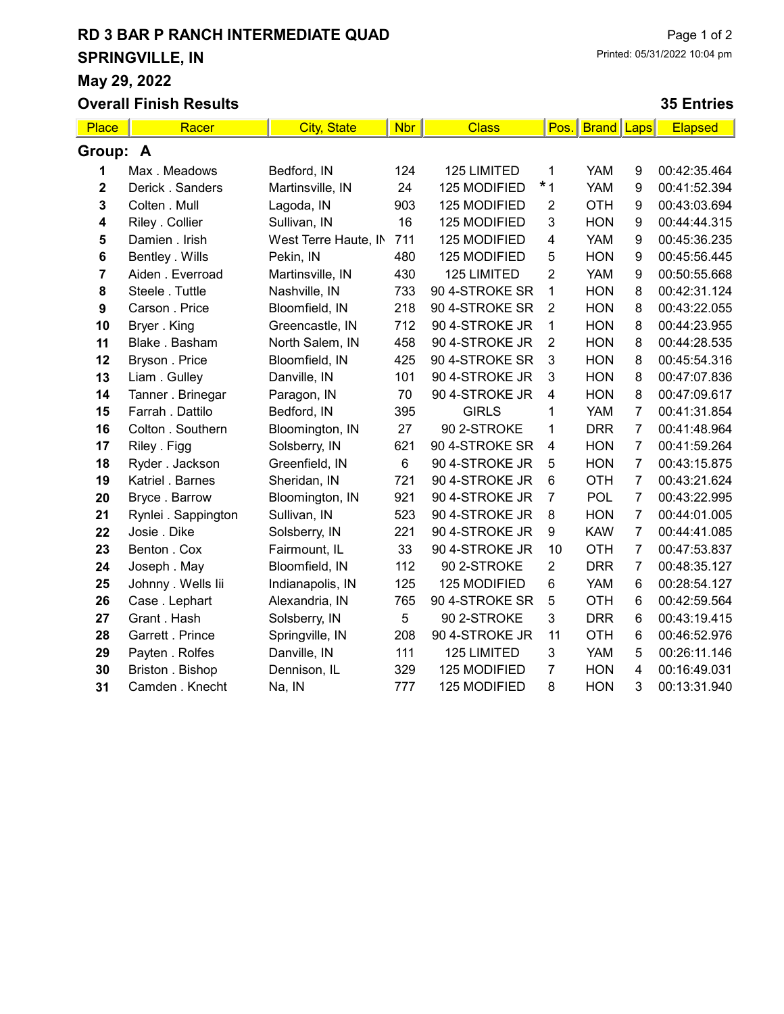## RD 3 BAR P RANCH INTERMEDIATE QUAD SPRINGVILLE, IN May 29, 2022

### Overall Finish Results

### 35 Entries

| Place                   | Racer               | <b>City, State</b>   | <b>Nbr</b>     | <b>Class</b>   | Pos.           | <b>Brand Laps</b> |                | <b>Elapsed</b> |
|-------------------------|---------------------|----------------------|----------------|----------------|----------------|-------------------|----------------|----------------|
| Group: A                |                     |                      |                |                |                |                   |                |                |
|                         | Max. Meadows        | Bedford, IN          | 124            | 125 LIMITED    | 1              | <b>YAM</b>        | 9              | 00:42:35.464   |
| $\mathbf 2$             | Derick . Sanders    | Martinsville, IN     | 24             | 125 MODIFIED   | $*1$           | <b>YAM</b>        | 9              | 00:41:52.394   |
| 3                       | Colten . Mull       | Lagoda, IN           | 903            | 125 MODIFIED   | 2              | <b>OTH</b>        | 9              | 00:43:03.694   |
| $\overline{\mathbf{4}}$ | Riley . Collier     | Sullivan, IN         | 16             | 125 MODIFIED   | 3              | <b>HON</b>        | 9              | 00:44:44.315   |
| 5                       | Damien . Irish      | West Terre Haute, IN | 711            | 125 MODIFIED   | 4              | <b>YAM</b>        | 9              | 00:45:36.235   |
| 6                       | Bentley . Wills     | Pekin, IN            | 480            | 125 MODIFIED   | 5              | <b>HON</b>        | 9              | 00:45:56.445   |
| 7                       | Aiden . Everroad    | Martinsville, IN     | 430            | 125 LIMITED    | $\overline{2}$ | <b>YAM</b>        | 9              | 00:50:55.668   |
| 8                       | Steele . Tuttle     | Nashville, IN        | 733            | 90 4-STROKE SR | 1              | <b>HON</b>        | 8              | 00:42:31.124   |
| 9                       | Carson . Price      | Bloomfield, IN       | 218            | 90 4-STROKE SR | $\overline{2}$ | <b>HON</b>        | 8              | 00:43:22.055   |
| 10                      | Bryer. King         | Greencastle, IN      | 712            | 90 4-STROKE JR | 1              | <b>HON</b>        | 8              | 00:44:23.955   |
| 11                      | Blake, Basham       | North Salem, IN      | 458            | 90 4-STROKE JR | 2              | <b>HON</b>        | 8              | 00:44:28.535   |
| 12                      | Bryson . Price      | Bloomfield, IN       | 425            | 90 4-STROKE SR | 3              | <b>HON</b>        | 8              | 00:45:54.316   |
| 13                      | Liam. Gulley        | Danville, IN         | 101            | 90 4-STROKE JR | 3              | <b>HON</b>        | 8              | 00:47:07.836   |
| 14                      | Tanner . Brinegar   | Paragon, IN          | 70             | 90 4-STROKE JR | 4              | <b>HON</b>        | 8              | 00:47:09.617   |
| 15                      | Farrah . Dattilo    | Bedford, IN          | 395            | <b>GIRLS</b>   | 1              | <b>YAM</b>        | 7              | 00:41:31.854   |
| 16                      | Colton . Southern   | Bloomington, IN      | 27             | 90 2-STROKE    | 1              | <b>DRR</b>        | $\overline{7}$ | 00:41:48.964   |
| 17                      | Riley . Figg        | Solsberry, IN        | 621            | 90 4-STROKE SR | 4              | <b>HON</b>        | $\overline{7}$ | 00:41:59.264   |
| 18                      | Ryder . Jackson     | Greenfield, IN       | $6\phantom{1}$ | 90 4-STROKE JR | 5              | <b>HON</b>        | $\overline{7}$ | 00:43:15.875   |
| 19                      | Katriel . Barnes    | Sheridan, IN         | 721            | 90 4-STROKE JR | 6              | <b>OTH</b>        | $\overline{7}$ | 00:43:21.624   |
| 20                      | Bryce. Barrow       | Bloomington, IN      | 921            | 90 4-STROKE JR | $\overline{7}$ | POL               | $\overline{7}$ | 00:43:22.995   |
| 21                      | Rynlei . Sappington | Sullivan, IN         | 523            | 90 4-STROKE JR | 8              | <b>HON</b>        | $\overline{7}$ | 00:44:01.005   |
| 22                      | Josie . Dike        | Solsberry, IN        | 221            | 90 4-STROKE JR | 9              | <b>KAW</b>        | $\overline{7}$ | 00:44:41.085   |
| 23                      | Benton . Cox        | Fairmount, IL        | 33             | 90 4-STROKE JR | 10             | <b>OTH</b>        | $\overline{7}$ | 00:47:53.837   |
| 24                      | Joseph . May        | Bloomfield, IN       | 112            | 90 2-STROKE    | $\overline{2}$ | <b>DRR</b>        | $\overline{7}$ | 00:48:35.127   |
| 25                      | Johnny . Wells lii  | Indianapolis, IN     | 125            | 125 MODIFIED   | 6              | <b>YAM</b>        | $\,6$          | 00:28:54.127   |
| 26                      | Case. Lephart       | Alexandria, IN       | 765            | 90 4-STROKE SR | 5              | <b>OTH</b>        | 6              | 00:42:59.564   |
| 27                      | Grant . Hash        | Solsberry, IN        | $\overline{5}$ | 90 2-STROKE    | 3              | <b>DRR</b>        | $6\phantom{1}$ | 00:43:19.415   |
| 28                      | Garrett . Prince    | Springville, IN      | 208            | 90 4-STROKE JR | 11             | <b>OTH</b>        | $\,6$          | 00:46:52.976   |
| 29                      | Payten . Rolfes     | Danville, IN         | 111            | 125 LIMITED    | 3              | <b>YAM</b>        | 5              | 00:26:11.146   |
| 30                      | Briston . Bishop    | Dennison, IL         | 329            | 125 MODIFIED   | 7              | <b>HON</b>        | 4              | 00:16:49.031   |
| 31                      | Camden . Knecht     | Na, IN               | 777            | 125 MODIFIED   | 8              | <b>HON</b>        | 3              | 00:13:31.940   |